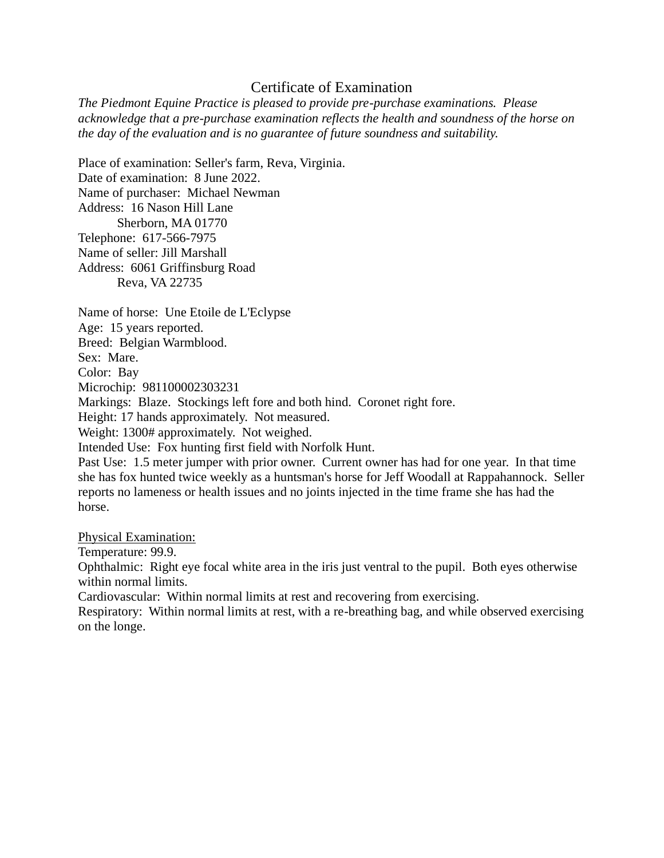## Certificate of Examination

*The Piedmont Equine Practice is pleased to provide pre-purchase examinations. Please acknowledge that a pre-purchase examination reflects the health and soundness of the horse on the day of the evaluation and is no guarantee of future soundness and suitability.*

Place of examination: Seller's farm, Reva, Virginia. Date of examination: 8 June 2022. Name of purchaser: Michael Newman Address: 16 Nason Hill Lane Sherborn, MA 01770 Telephone: 617-566-7975 Name of seller: Jill Marshall Address: 6061 Griffinsburg Road Reva, VA 22735

Name of horse: Une Etoile de L'Eclypse Age: 15 years reported. Breed: Belgian Warmblood. Sex: Mare. Color: Bay Microchip: 981100002303231 Markings: Blaze. Stockings left fore and both hind. Coronet right fore. Height: 17 hands approximately. Not measured. Weight: 1300# approximately. Not weighed. Intended Use: Fox hunting first field with Norfolk Hunt. Past Use: 1.5 meter jumper with prior owner. Current owner has had for one year. In that time

she has fox hunted twice weekly as a huntsman's horse for Jeff Woodall at Rappahannock. Seller reports no lameness or health issues and no joints injected in the time frame she has had the horse.

Physical Examination:

Temperature: 99.9.

Ophthalmic: Right eye focal white area in the iris just ventral to the pupil. Both eyes otherwise within normal limits.

Cardiovascular: Within normal limits at rest and recovering from exercising.

Respiratory: Within normal limits at rest, with a re-breathing bag, and while observed exercising on the longe.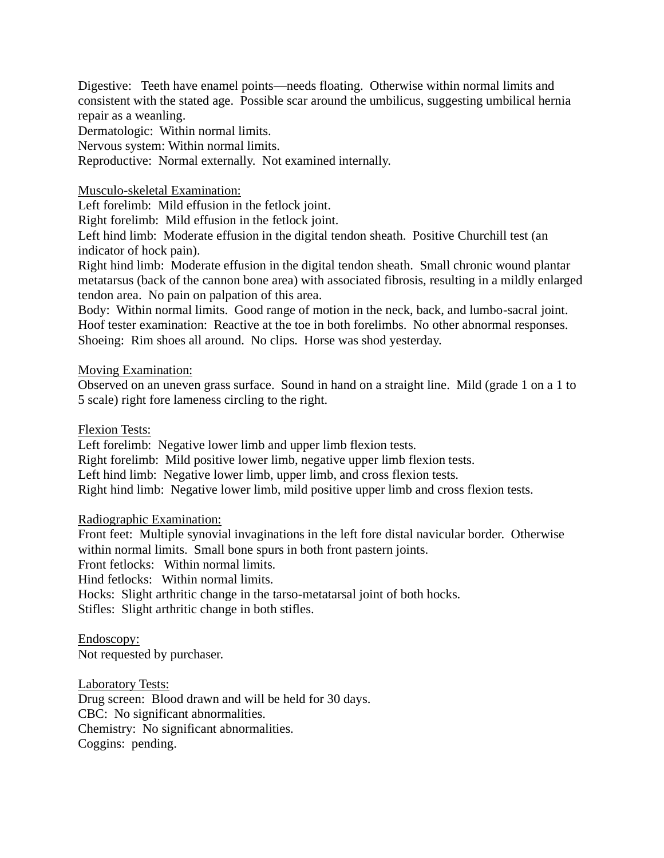Digestive: Teeth have enamel points—needs floating. Otherwise within normal limits and consistent with the stated age. Possible scar around the umbilicus, suggesting umbilical hernia repair as a weanling.

Dermatologic: Within normal limits.

Nervous system: Within normal limits.

Reproductive: Normal externally. Not examined internally.

Musculo-skeletal Examination:

Left forelimb: Mild effusion in the fetlock joint.

Right forelimb: Mild effusion in the fetlock joint.

Left hind limb: Moderate effusion in the digital tendon sheath. Positive Churchill test (an indicator of hock pain).

Right hind limb: Moderate effusion in the digital tendon sheath. Small chronic wound plantar metatarsus (back of the cannon bone area) with associated fibrosis, resulting in a mildly enlarged tendon area. No pain on palpation of this area.

Body: Within normal limits. Good range of motion in the neck, back, and lumbo-sacral joint. Hoof tester examination: Reactive at the toe in both forelimbs. No other abnormal responses. Shoeing: Rim shoes all around. No clips. Horse was shod yesterday.

## Moving Examination:

Observed on an uneven grass surface. Sound in hand on a straight line. Mild (grade 1 on a 1 to 5 scale) right fore lameness circling to the right.

Flexion Tests:

Left forelimb: Negative lower limb and upper limb flexion tests.

Right forelimb: Mild positive lower limb, negative upper limb flexion tests.

Left hind limb: Negative lower limb, upper limb, and cross flexion tests.

Right hind limb: Negative lower limb, mild positive upper limb and cross flexion tests.

Radiographic Examination:

Front feet: Multiple synovial invaginations in the left fore distal navicular border. Otherwise within normal limits. Small bone spurs in both front pastern joints.

Front fetlocks: Within normal limits.

Hind fetlocks: Within normal limits.

Hocks: Slight arthritic change in the tarso-metatarsal joint of both hocks.

Stifles: Slight arthritic change in both stifles.

Endoscopy: Not requested by purchaser.

Laboratory Tests:

Drug screen: Blood drawn and will be held for 30 days. CBC: No significant abnormalities. Chemistry: No significant abnormalities. Coggins: pending.